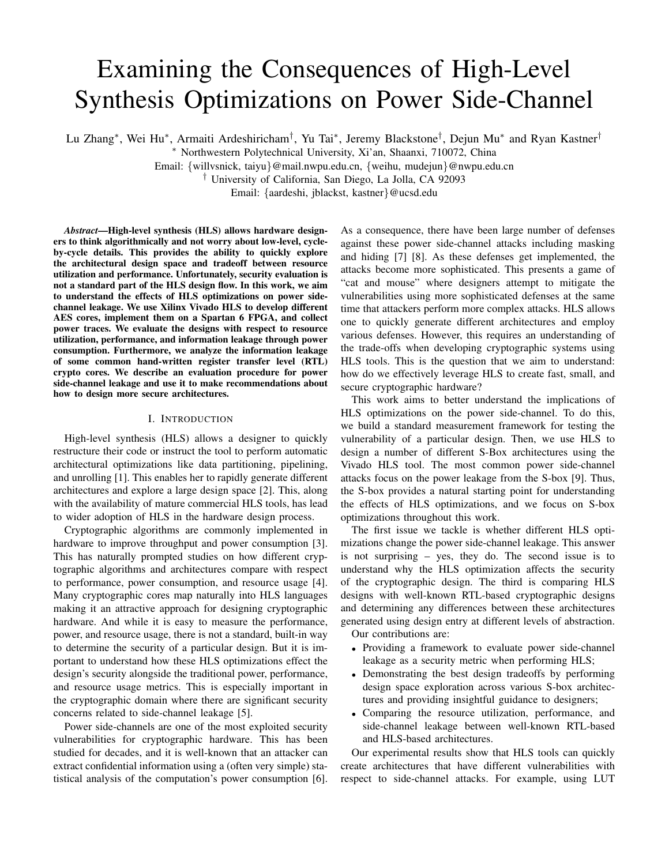# Examining the Consequences of High-Level Synthesis Optimizations on Power Side-Channel

Lu Zhang\*, Wei Hu\*, Armaiti Ardeshiricham<sup>†</sup>, Yu Tai\*, Jeremy Blackstone<sup>†</sup>, Dejun Mu\* and Ryan Kastner<sup>†</sup>

<sup>∗</sup> Northwestern Polytechnical University, Xi'an, Shaanxi, 710072, China

Email: {willvsnick, taiyu}@mail.nwpu.edu.cn, {weihu, mudejun}@nwpu.edu.cn

† University of California, San Diego, La Jolla, CA 92093

Email: {aardeshi, jblackst, kastner}@ucsd.edu

*Abstract*—High-level synthesis (HLS) allows hardware designers to think algorithmically and not worry about low-level, cycleby-cycle details. This provides the ability to quickly explore the architectural design space and tradeoff between resource utilization and performance. Unfortunately, security evaluation is not a standard part of the HLS design flow. In this work, we aim to understand the effects of HLS optimizations on power sidechannel leakage. We use Xilinx Vivado HLS to develop different AES cores, implement them on a Spartan 6 FPGA, and collect power traces. We evaluate the designs with respect to resource utilization, performance, and information leakage through power consumption. Furthermore, we analyze the information leakage of some common hand-written register transfer level (RTL) crypto cores. We describe an evaluation procedure for power side-channel leakage and use it to make recommendations about how to design more secure architectures.

#### I. INTRODUCTION

High-level synthesis (HLS) allows a designer to quickly restructure their code or instruct the tool to perform automatic architectural optimizations like data partitioning, pipelining, and unrolling [1]. This enables her to rapidly generate different architectures and explore a large design space [2]. This, along with the availability of mature commercial HLS tools, has lead to wider adoption of HLS in the hardware design process.

Cryptographic algorithms are commonly implemented in hardware to improve throughput and power consumption [3]. This has naturally prompted studies on how different cryptographic algorithms and architectures compare with respect to performance, power consumption, and resource usage [4]. Many cryptographic cores map naturally into HLS languages making it an attractive approach for designing cryptographic hardware. And while it is easy to measure the performance, power, and resource usage, there is not a standard, built-in way to determine the security of a particular design. But it is important to understand how these HLS optimizations effect the design's security alongside the traditional power, performance, and resource usage metrics. This is especially important in the cryptographic domain where there are significant security concerns related to side-channel leakage [5].

Power side-channels are one of the most exploited security vulnerabilities for cryptographic hardware. This has been studied for decades, and it is well-known that an attacker can extract confidential information using a (often very simple) statistical analysis of the computation's power consumption [6]. As a consequence, there have been large number of defenses against these power side-channel attacks including masking and hiding [7] [8]. As these defenses get implemented, the attacks become more sophisticated. This presents a game of "cat and mouse" where designers attempt to mitigate the vulnerabilities using more sophisticated defenses at the same time that attackers perform more complex attacks. HLS allows one to quickly generate different architectures and employ various defenses. However, this requires an understanding of the trade-offs when developing cryptographic systems using HLS tools. This is the question that we aim to understand: how do we effectively leverage HLS to create fast, small, and secure cryptographic hardware?

This work aims to better understand the implications of HLS optimizations on the power side-channel. To do this, we build a standard measurement framework for testing the vulnerability of a particular design. Then, we use HLS to design a number of different S-Box architectures using the Vivado HLS tool. The most common power side-channel attacks focus on the power leakage from the S-box [9]. Thus, the S-box provides a natural starting point for understanding the effects of HLS optimizations, and we focus on S-box optimizations throughout this work.

The first issue we tackle is whether different HLS optimizations change the power side-channel leakage. This answer is not surprising – yes, they do. The second issue is to understand why the HLS optimization affects the security of the cryptographic design. The third is comparing HLS designs with well-known RTL-based cryptographic designs and determining any differences between these architectures generated using design entry at different levels of abstraction. Our contributions are:

- Providing a framework to evaluate power side-channel leakage as a security metric when performing HLS;
- Demonstrating the best design tradeoffs by performing design space exploration across various S-box architectures and providing insightful guidance to designers;
- Comparing the resource utilization, performance, and side-channel leakage between well-known RTL-based and HLS-based architectures.

Our experimental results show that HLS tools can quickly create architectures that have different vulnerabilities with respect to side-channel attacks. For example, using LUT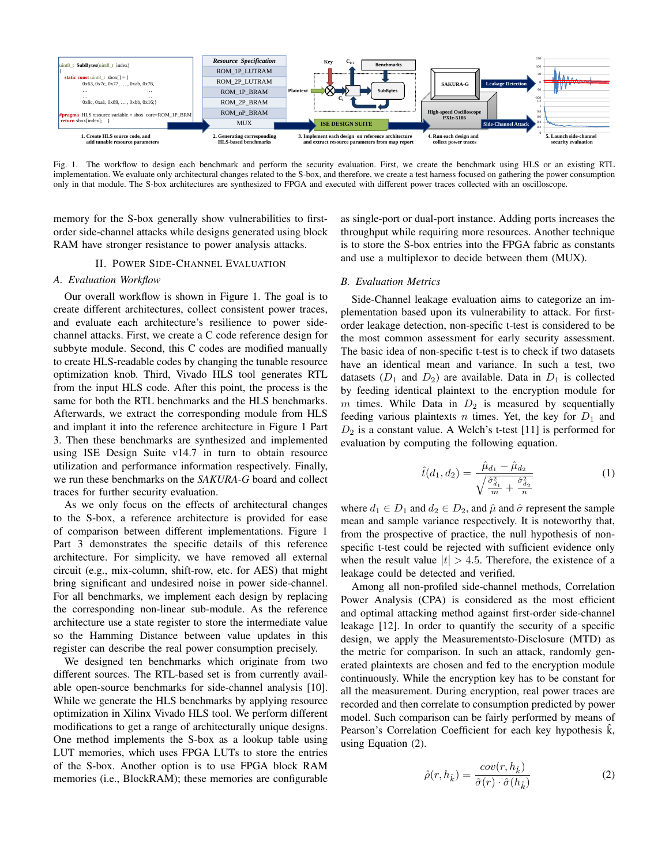

Fig. 1. The workflow to design each benchmark and perform the security evaluation. First, we create the benchmark using HLS or an existing RTL implementation. We evaluate only architectural changes related to the S-box, and therefore, we create a test harness focused on gathering the power consumption only in that module. The S-box architectures are synthesized to FPGA and executed with different power traces collected with an oscilloscope.

memory for the S-box generally show vulnerabilities to firstorder side-channel attacks while designs generated using block RAM have stronger resistance to power analysis attacks.

#### II. POWER SIDE-CHANNEL EVALUATION

#### *A. Evaluation Workflow*

Our overall workflow is shown in Figure 1. The goal is to create different architectures, collect consistent power traces, and evaluate each architecture's resilience to power sidechannel attacks. First, we create a C code reference design for subbyte module. Second, this C codes are modified manually to create HLS-readable codes by changing the tunable resource optimization knob. Third, Vivado HLS tool generates RTL from the input HLS code. After this point, the process is the same for both the RTL benchmarks and the HLS benchmarks. Afterwards, we extract the corresponding module from HLS and implant it into the reference architecture in Figure 1 Part 3. Then these benchmarks are synthesized and implemented using ISE Design Suite v14.7 in turn to obtain resource utilization and performance information respectively. Finally, we run these benchmarks on the *SAKURA-G* board and collect traces for further security evaluation.

As we only focus on the effects of architectural changes to the S-box, a reference architecture is provided for ease of comparison between different implementations. Figure 1 Part 3 demonstrates the specific details of this reference architecture. For simplicity, we have removed all external circuit (e.g., mix-column, shift-row, etc. for AES) that might bring significant and undesired noise in power side-channel. For all benchmarks, we implement each design by replacing the corresponding non-linear sub-module. As the reference architecture use a state register to store the intermediate value so the Hamming Distance between value updates in this register can describe the real power consumption precisely.

We designed ten benchmarks which originate from two different sources. The RTL-based set is from currently available open-source benchmarks for side-channel analysis [10]. While we generate the HLS benchmarks by applying resource optimization in Xilinx Vivado HLS tool. We perform different modifications to get a range of architecturally unique designs. One method implements the S-box as a lookup table using LUT memories, which uses FPGA LUTs to store the entries of the S-box. Another option is to use FPGA block RAM memories (i.e., BlockRAM); these memories are configurable as single-port or dual-port instance. Adding ports increases the throughput while requiring more resources. Another technique is to store the S-box entries into the FPGA fabric as constants and use a multiplexor to decide between them (MUX).

#### *B. Evaluation Metrics*

Side-Channel leakage evaluation aims to categorize an implementation based upon its vulnerability to attack. For firstorder leakage detection, non-specific t-test is considered to be the most common assessment for early security assessment. The basic idea of non-specific t-test is to check if two datasets have an identical mean and variance. In such a test, two datasets ( $D_1$  and  $D_2$ ) are available. Data in  $D_1$  is collected by feeding identical plaintext to the encryption module for m times. While Data in  $D_2$  is measured by sequentially feeding various plaintexts *n* times. Yet, the key for  $D_1$  and  $D_2$  is a constant value. A Welch's t-test [11] is performed for evaluation by computing the following equation.

$$
\hat{t}(d_1, d_2) = \frac{\hat{\mu}_{d_1} - \hat{\mu}_{d_2}}{\sqrt{\frac{\hat{\sigma}_{d_1}^2}{m} + \frac{\hat{\sigma}_{d_2}^2}{n}}}
$$
(1)

where  $d_1 \in D_1$  and  $d_2 \in D_2$ , and  $\hat{\mu}$  and  $\hat{\sigma}$  represent the sample mean and sample variance respectively. It is noteworthy that, from the prospective of practice, the null hypothesis of nonspecific t-test could be rejected with sufficient evidence only when the result value  $|t| > 4.5$ . Therefore, the existence of a leakage could be detected and verified.

Among all non-profiled side-channel methods, Correlation Power Analysis (CPA) is considered as the most efficient and optimal attacking method against first-order side-channel leakage [12]. In order to quantify the security of a specific design, we apply the Measurementsto-Disclosure (MTD) as the metric for comparison. In such an attack, randomly generated plaintexts are chosen and fed to the encryption module continuously. While the encryption key has to be constant for all the measurement. During encryption, real power traces are recorded and then correlate to consumption predicted by power model. Such comparison can be fairly performed by means of Pearson's Correlation Coefficient for each key hypothesis  $\hat{k}$ , using Equation (2).

$$
\hat{\rho}(r, h_{\hat{k}}) = \frac{cov(r, h_{\hat{k}})}{\hat{\sigma}(r) \cdot \hat{\sigma}(h_{\hat{k}})}
$$
(2)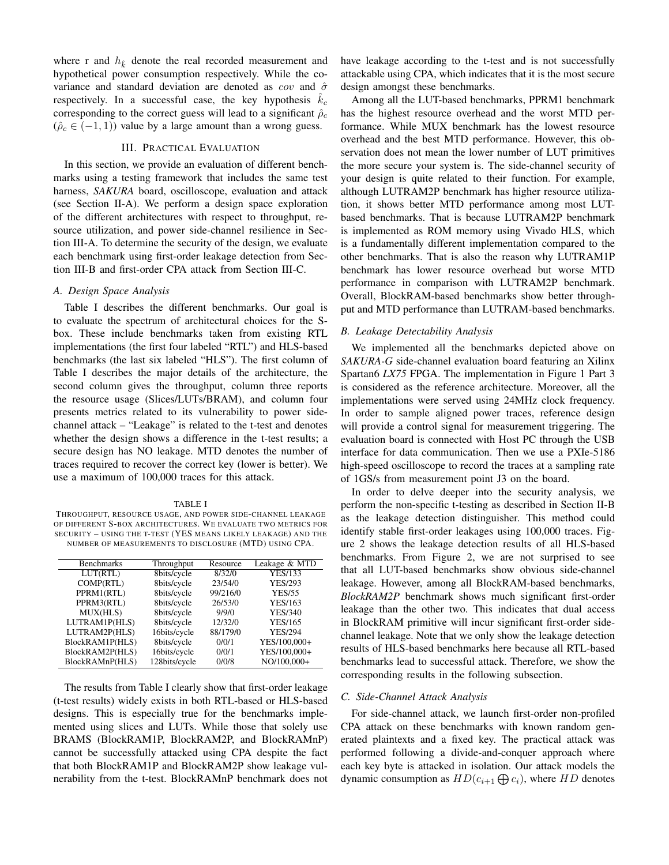where r and  $h_{\hat{k}}$  denote the real recorded measurement and hypothetical power consumption respectively. While the covariance and standard deviation are denoted as  $cov$  and  $\hat{\sigma}$ respectively. In a successful case, the key hypothesis  $k_c$ corresponding to the correct guess will lead to a significant  $\hat{\rho}_c$  $(\hat{\rho}_c \in (-1, 1))$  value by a large amount than a wrong guess.

## III. PRACTICAL EVALUATION

In this section, we provide an evaluation of different benchmarks using a testing framework that includes the same test harness, *SAKURA* board, oscilloscope, evaluation and attack (see Section II-A). We perform a design space exploration of the different architectures with respect to throughput, resource utilization, and power side-channel resilience in Section III-A. To determine the security of the design, we evaluate each benchmark using first-order leakage detection from Section III-B and first-order CPA attack from Section III-C.

#### *A. Design Space Analysis*

Table I describes the different benchmarks. Our goal is to evaluate the spectrum of architectural choices for the Sbox. These include benchmarks taken from existing RTL implementations (the first four labeled "RTL") and HLS-based benchmarks (the last six labeled "HLS"). The first column of Table I describes the major details of the architecture, the second column gives the throughput, column three reports the resource usage (Slices/LUTs/BRAM), and column four presents metrics related to its vulnerability to power sidechannel attack – "Leakage" is related to the t-test and denotes whether the design shows a difference in the t-test results; a secure design has NO leakage. MTD denotes the number of traces required to recover the correct key (lower is better). We use a maximum of 100,000 traces for this attack.

TABLE I

THROUGHPUT, RESOURCE USAGE, AND POWER SIDE-CHANNEL LEAKAGE OF DIFFERENT S-BOX ARCHITECTURES. WE EVALUATE TWO METRICS FOR SECURITY – USING THE T-TEST (YES MEANS LIKELY LEAKAGE) AND THE NUMBER OF MEASUREMENTS TO DISCLOSURE (MTD) USING CPA.

| <b>Benchmarks</b> | Throughput    | Resource | Leakage & MTD  |
|-------------------|---------------|----------|----------------|
| LUT(RTL)          | 8bits/cycle   | 8/32/0   | <b>YES/133</b> |
| COMP(RTL)         | 8bits/cycle   | 23/54/0  | <b>YES/293</b> |
| PPRM1(RTL)        | 8bits/cycle   | 99/216/0 | <b>YES/55</b>  |
| PPRM3(RTL)        | 8bits/cycle   | 26/53/0  | <b>YES/163</b> |
| MUX(HLS)          | 8bits/cycle   | 9/9/0    | <b>YES/340</b> |
| LUTRAM1P(HLS)     | 8bits/cycle   | 12/32/0  | <b>YES/165</b> |
| LUTRAM2P(HLS)     | 16bits/cycle  | 88/179/0 | <b>YES/294</b> |
| BlockRAM1P(HLS)   | 8bits/cycle   | 0/0/1    | YES/100,000+   |
| BlockRAM2P(HLS)   | 16bits/cycle  | 0/0/1    | YES/100,000+   |
| BlockRAMnP(HLS)   | 128bits/cycle | 0/0/8    | NO/100,000+    |
|                   |               |          |                |

The results from Table I clearly show that first-order leakage (t-test results) widely exists in both RTL-based or HLS-based designs. This is especially true for the benchmarks implemented using slices and LUTs. While those that solely use BRAMS (BlockRAM1P, BlockRAM2P, and BlockRAMnP) cannot be successfully attacked using CPA despite the fact that both BlockRAM1P and BlockRAM2P show leakage vulnerability from the t-test. BlockRAMnP benchmark does not have leakage according to the t-test and is not successfully attackable using CPA, which indicates that it is the most secure design amongst these benchmarks.

Among all the LUT-based benchmarks, PPRM1 benchmark has the highest resource overhead and the worst MTD performance. While MUX benchmark has the lowest resource overhead and the best MTD performance. However, this observation does not mean the lower number of LUT primitives the more secure your system is. The side-channel security of your design is quite related to their function. For example, although LUTRAM2P benchmark has higher resource utilization, it shows better MTD performance among most LUTbased benchmarks. That is because LUTRAM2P benchmark is implemented as ROM memory using Vivado HLS, which is a fundamentally different implementation compared to the other benchmarks. That is also the reason why LUTRAM1P benchmark has lower resource overhead but worse MTD performance in comparison with LUTRAM2P benchmark. Overall, BlockRAM-based benchmarks show better throughput and MTD performance than LUTRAM-based benchmarks.

# *B. Leakage Detectability Analysis*

We implemented all the benchmarks depicted above on *SAKURA-G* side-channel evaluation board featuring an Xilinx Spartan6 *LX75* FPGA. The implementation in Figure 1 Part 3 is considered as the reference architecture. Moreover, all the implementations were served using 24MHz clock frequency. In order to sample aligned power traces, reference design will provide a control signal for measurement triggering. The evaluation board is connected with Host PC through the USB interface for data communication. Then we use a PXIe-5186 high-speed oscilloscope to record the traces at a sampling rate of 1GS/s from measurement point J3 on the board.

In order to delve deeper into the security analysis, we perform the non-specific t-testing as described in Section II-B as the leakage detection distinguisher. This method could identify stable first-order leakages using 100,000 traces. Figure 2 shows the leakage detection results of all HLS-based benchmarks. From Figure 2, we are not surprised to see that all LUT-based benchmarks show obvious side-channel leakage. However, among all BlockRAM-based benchmarks, *BlockRAM2P* benchmark shows much significant first-order leakage than the other two. This indicates that dual access in BlockRAM primitive will incur significant first-order sidechannel leakage. Note that we only show the leakage detection results of HLS-based benchmarks here because all RTL-based benchmarks lead to successful attack. Therefore, we show the corresponding results in the following subsection.

# *C. Side-Channel Attack Analysis*

For side-channel attack, we launch first-order non-profiled CPA attack on these benchmarks with known random generated plaintexts and a fixed key. The practical attack was performed following a divide-and-conquer approach where each key byte is attacked in isolation. Our attack models the dynamic consumption as  $HD(c_{i+1} \bigoplus c_i)$ , where HD denotes